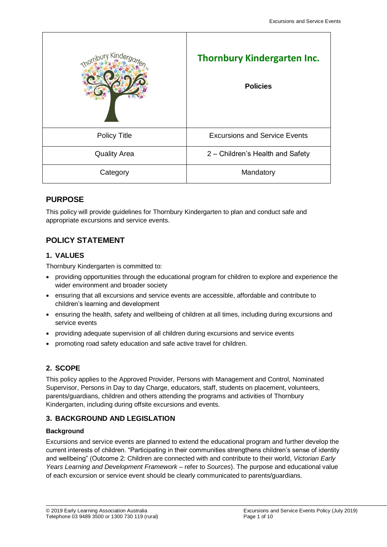| Thornbury Kinder    | <b>Thornbury Kindergarten Inc.</b><br><b>Policies</b> |
|---------------------|-------------------------------------------------------|
| <b>Policy Title</b> | <b>Excursions and Service Events</b>                  |
| <b>Quality Area</b> | 2 - Children's Health and Safety                      |
| Category            | Mandatory                                             |

# **PURPOSE**

This policy will provide guidelines for Thornbury Kindergarten to plan and conduct safe and appropriate excursions and service events.

# **POLICY STATEMENT**

## **1. VALUES**

Thornbury Kindergarten is committed to:

- providing opportunities through the educational program for children to explore and experience the wider environment and broader society
- ensuring that all excursions and service events are accessible, affordable and contribute to children's learning and development
- ensuring the health, safety and wellbeing of children at all times, including during excursions and service events
- providing adequate supervision of all children during excursions and service events
- promoting road safety education and safe active travel for children.

# **2. SCOPE**

This policy applies to the Approved Provider, Persons with Management and Control, Nominated Supervisor, Persons in Day to day Charge, educators, staff, students on placement, volunteers, parents/guardians, children and others attending the programs and activities of Thornbury Kindergarten, including during offsite excursions and events.

# **3. BACKGROUND AND LEGISLATION**

### **Background**

Excursions and service events are planned to extend the educational program and further develop the current interests of children. "Participating in their communities strengthens children's sense of identity and wellbeing" (Outcome 2: Children are connected with and contribute to their world, *Victorian Early Years Learning and Development Framework –* refer to *Sources*). The purpose and educational value of each excursion or service event should be clearly communicated to parents/guardians.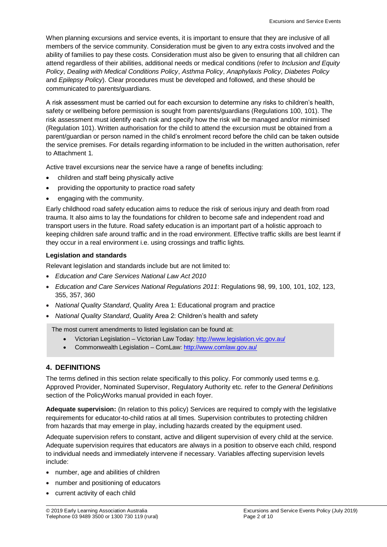When planning excursions and service events, it is important to ensure that they are inclusive of all members of the service community. Consideration must be given to any extra costs involved and the ability of families to pay these costs. Consideration must also be given to ensuring that all children can attend regardless of their abilities, additional needs or medical conditions (refer to *Inclusion and Equity Policy*, *Dealing with Medical Conditions Policy*, *Asthma Policy*, *Anaphylaxis Policy*, *Diabetes Policy*  and *Epilepsy Policy*). Clear procedures must be developed and followed, and these should be communicated to parents/guardians.

A risk assessment must be carried out for each excursion to determine any risks to children's health, safety or wellbeing before permission is sought from parents/guardians (Regulations 100, 101). The risk assessment must identify each risk and specify how the risk will be managed and/or minimised (Regulation 101). Written authorisation for the child to attend the excursion must be obtained from a parent/guardian or person named in the child's enrolment record before the child can be taken outside the service premises. For details regarding information to be included in the written authorisation, refer to Attachment 1.

Active travel excursions near the service have a range of benefits including:

- children and staff being physically active
- providing the opportunity to practice road safety
- engaging with the community.

Early childhood road safety education aims to reduce the risk of serious injury and death from road trauma. It also aims to lay the foundations for children to become safe and independent road and transport users in the future. Road safety education is an important part of a holistic approach to keeping children safe around traffic and in the road environment. Effective traffic skills are best learnt if they occur in a real environment i.e. using crossings and traffic lights.

### **Legislation and standards**

Relevant legislation and standards include but are not limited to:

- *Education and Care Services National Law Act 2010*
- *Education and Care Services National Regulations 2011*: Regulations 98, 99, 100, 101, 102, 123, 355, 357, 360
- *National Quality Standard*, Quality Area 1: Educational program and practice
- *National Quality Standard*, Quality Area 2: Children's health and safety

The most current amendments to listed legislation can be found at:

- Victorian Legislation Victorian Law Today:<http://www.legislation.vic.gov.au/>
- Commonwealth Legislation ComLaw[: http://www.comlaw.gov.au/](http://www.comlaw.gov.au/)

### **4. DEFINITIONS**

The terms defined in this section relate specifically to this policy. For commonly used terms e.g. Approved Provider, Nominated Supervisor, Regulatory Authority etc. refer to the *General Definitions* section of the PolicyWorks manual provided in each foyer.

**Adequate supervision:** (In relation to this policy) Services are required to comply with the legislative requirements for educator-to-child ratios at all times. Supervision contributes to protecting children from hazards that may emerge in play, including hazards created by the equipment used.

Adequate supervision refers to constant, active and diligent supervision of every child at the service. Adequate supervision requires that educators are always in a position to observe each child, respond to individual needs and immediately intervene if necessary. Variables affecting supervision levels include:

- number, age and abilities of children
- number and positioning of educators
- current activity of each child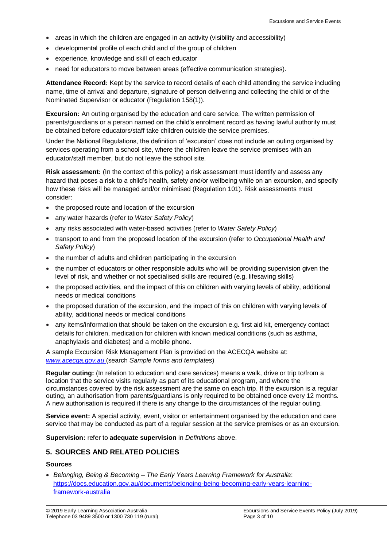- areas in which the children are engaged in an activity (visibility and accessibility)
- developmental profile of each child and of the group of children
- experience, knowledge and skill of each educator
- need for educators to move between areas (effective communication strategies).

**Attendance Record:** Kept by the service to record details of each child attending the service including name, time of arrival and departure, signature of person delivering and collecting the child or of the Nominated Supervisor or educator (Regulation 158(1)).

**Excursion:** An outing organised by the education and care service. The written permission of parents/guardians or a person named on the child's enrolment record as having lawful authority must be obtained before educators/staff take children outside the service premises.

Under the National Regulations, the definition of 'excursion' does not include an outing organised by services operating from a school site, where the child/ren leave the service premises with an educator/staff member, but do not leave the school site.

**Risk assessment:** (In the context of this policy) a risk assessment must identify and assess any hazard that poses a risk to a child's health, safety and/or wellbeing while on an excursion, and specify how these risks will be managed and/or minimised (Regulation 101). Risk assessments must consider:

- the proposed route and location of the excursion
- any water hazards (refer to *Water Safety Policy*)
- any risks associated with water-based activities (refer to *Water Safety Policy*)
- transport to and from the proposed location of the excursion (refer to *Occupational Health and Safety Policy*)
- the number of adults and children participating in the excursion
- the number of educators or other responsible adults who will be providing supervision given the level of risk, and whether or not specialised skills are required (e.g. lifesaving skills)
- the proposed activities, and the impact of this on children with varying levels of ability, additional needs or medical conditions
- the proposed duration of the excursion, and the impact of this on children with varying levels of ability, additional needs or medical conditions
- any items/information that should be taken on the excursion e.g. first aid kit, emergency contact details for children, medication for children with known medical conditions (such as asthma, anaphylaxis and diabetes) and a mobile phone.

A sample Excursion Risk Management Plan is provided on the ACECQA website at: *[www.acecqa.gov.au](http://www.acecqa.gov.au/)* (search *Sample forms and templates*)

**Regular outing:** (In relation to education and care services) means a walk, drive or trip to/from a location that the service visits regularly as part of its educational program, and where the circumstances covered by the risk assessment are the same on each trip. If the excursion is a regular outing, an authorisation from parents/guardians is only required to be obtained once every 12 months. A new authorisation is required if there is any change to the circumstances of the regular outing.

**Service event:** A special activity, event, visitor or entertainment organised by the education and care service that may be conducted as part of a regular session at the service premises or as an excursion.

**Supervision:** refer to **adequate supervision** in *Definitions* above.

### **5. SOURCES AND RELATED POLICIES**

#### **Sources**

 *Belonging, Being & Becoming – The Early Years Learning Framework for Australia*: [https://docs.education.gov.au/documents/belonging-being-becoming-early-years-learning](https://docs.education.gov.au/documents/belonging-being-becoming-early-years-learning-framework-australia)[framework-australia](https://docs.education.gov.au/documents/belonging-being-becoming-early-years-learning-framework-australia)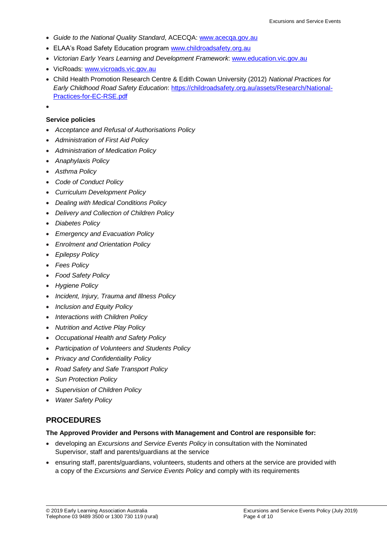- *Guide to the National Quality Standard*, ACECQA: [www.acecqa.gov.au](http://www.acecqa.gov.au/)
- ELAA's Road Safety Education program [www.childroadsafety.org.au](http://childroadsafety.org.au/)
- *Victorian Early Years Learning and Development Framework*: [www.education.vic.gov.au](http://www.education.vic.gov.au/Pages/default.aspx)
- VicRoads: [www.vicroads.vic.gov.au](http://www.vicroads.vic.gov.au/)
- Child Health Promotion Research Centre & Edith Cowan University (2012) *National Practices for Early Childhood Road Safety Education*: [https://childroadsafety.org.au/assets/Research/National-](https://childroadsafety.org.au/assets/Research/National-Practices-for-EC-RSE.pdf)[Practices-for-EC-RSE.pdf](https://childroadsafety.org.au/assets/Research/National-Practices-for-EC-RSE.pdf)
- $\bullet$

### **Service policies**

- *Acceptance and Refusal of Authorisations Policy*
- *Administration of First Aid Policy*
- *Administration of Medication Policy*
- *Anaphylaxis Policy*
- *Asthma Policy*
- *Code of Conduct Policy*
- *Curriculum Development Policy*
- *Dealing with Medical Conditions Policy*
- *Delivery and Collection of Children Policy*
- *Diabetes Policy*
- *Emergency and Evacuation Policy*
- *Enrolment and Orientation Policy*
- *Epilepsy Policy*
- *Fees Policy*
- *Food Safety Policy*
- *Hygiene Policy*
- *Incident, Injury, Trauma and Illness Policy*
- *Inclusion and Equity Policy*
- *Interactions with Children Policy*
- *Nutrition and Active Play Policy*
- *Occupational Health and Safety Policy*
- *Participation of Volunteers and Students Policy*
- *Privacy and Confidentiality Policy*
- *Road Safety and Safe Transport Policy*
- *Sun Protection Policy*
- *Supervision of Children Policy*
- *Water Safety Policy*

### **PROCEDURES**

#### **The Approved Provider and Persons with Management and Control are responsible for:**

- developing an *Excursions and Service Events Policy* in consultation with the Nominated Supervisor, staff and parents/guardians at the service
- ensuring staff, parents/guardians, volunteers, students and others at the service are provided with a copy of the *Excursions and Service Events Policy* and comply with its requirements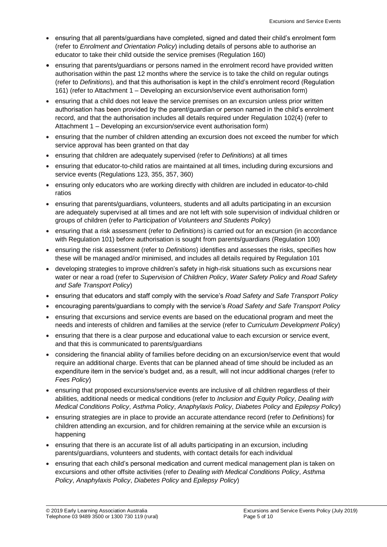- ensuring that all parents/guardians have completed, signed and dated their child's enrolment form (refer to *Enrolment and Orientation Policy*) including details of persons able to authorise an educator to take their child outside the service premises (Regulation 160)
- ensuring that parents/guardians or persons named in the enrolment record have provided written authorisation within the past 12 months where the service is to take the child on regular outings (refer to *Definitions*), and that this authorisation is kept in the child's enrolment record (Regulation 161) (refer to Attachment 1 – Developing an excursion/service event authorisation form)
- ensuring that a child does not leave the service premises on an excursion unless prior written authorisation has been provided by the parent/guardian or person named in the child's enrolment record, and that the authorisation includes all details required under Regulation 102(4) (refer to Attachment 1 – Developing an excursion/service event authorisation form)
- ensuring that the number of children attending an excursion does not exceed the number for which service approval has been granted on that day
- ensuring that children are adequately supervised (refer to *Definitions*) at all times
- ensuring that educator-to-child ratios are maintained at all times, including during excursions and service events (Regulations 123, 355, 357, 360)
- ensuring only educators who are working directly with children are included in educator-to-child ratios
- ensuring that parents/guardians, volunteers, students and all adults participating in an excursion are adequately supervised at all times and are not left with sole supervision of individual children or groups of children (refer to *Participation of Volunteers and Students Policy*)
- ensuring that a risk assessment (refer to *Definitions*) is carried out for an excursion (in accordance with Regulation 101) before authorisation is sought from parents/guardians (Regulation 100)
- ensuring the risk assessment (refer to *Definitions*) identifies and assesses the risks, specifies how these will be managed and/or minimised, and includes all details required by Regulation 101
- developing strategies to improve children's safety in high-risk situations such as excursions near water or near a road (refer to *Supervision of Children Policy*, *Water Safety Policy* and *Road Safety and Safe Transport Policy*)
- ensuring that educators and staff comply with the service's *Road Safety and Safe Transport Policy*
- encouraging parents/guardians to comply with the service's *Road Safety and Safe Transport Policy*
- ensuring that excursions and service events are based on the educational program and meet the needs and interests of children and families at the service (refer to *Curriculum Development Policy*)
- ensuring that there is a clear purpose and educational value to each excursion or service event, and that this is communicated to parents/guardians
- considering the financial ability of families before deciding on an excursion/service event that would require an additional charge. Events that can be planned ahead of time should be included as an expenditure item in the service's budget and, as a result, will not incur additional charges (refer to *Fees Policy*)
- ensuring that proposed excursions/service events are inclusive of all children regardless of their abilities, additional needs or medical conditions (refer to *Inclusion and Equity Policy*, *Dealing with Medical Conditions Policy*, *Asthma Policy*, *Anaphylaxis Policy*, *Diabetes Policy* and *Epilepsy Policy*)
- ensuring strategies are in place to provide an accurate attendance record (refer to *Definitions*) for children attending an excursion, and for children remaining at the service while an excursion is happening
- ensuring that there is an accurate list of all adults participating in an excursion, including parents/guardians, volunteers and students, with contact details for each individual
- ensuring that each child's personal medication and current medical management plan is taken on excursions and other offsite activities (refer to *Dealing with Medical Conditions Policy*, *Asthma Policy*, *Anaphylaxis Policy*, *Diabetes Policy* and *Epilepsy Policy*)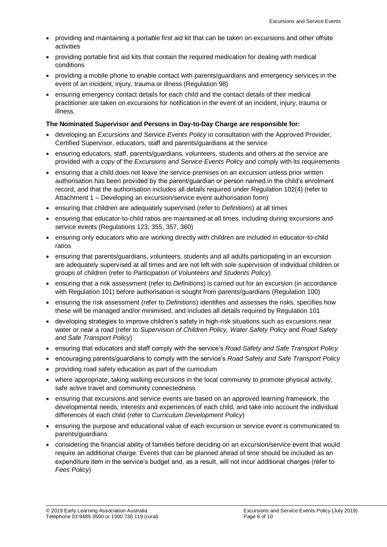- providing and maintaining a portable first aid kit that can be taken on excursions and other offsite activities
- providing portable first aid kits that contain the required medication for dealing with medical conditions
- providing a mobile phone to enable contact with parents/guardians and emergency services in the event of an incident, injury, trauma or illness (Regulation 98)
- ensuring emergency contact details for each child and the contact details of their medical practitioner are taken on excursions for notification in the event of an incident, injury, trauma or illness.

### **The Nominated Supervisor and Persons in Day-to-Day Charge are responsible for:**

- developing an *Excursions and Service Events Policy* in consultation with the Approved Provider, Certified Supervisor, educators, staff and parents/guardians at the service
- ensuring educators, staff, parents/guardians, volunteers, students and others at the service are provided with a copy of the *Excursions and Service Events Policy* and comply with its requirements
- ensuring that a child does not leave the service premises on an excursion unless prior written authorisation has been provided by the parent/guardian or person named in the child's enrolment record, and that the authorisation includes all details required under Regulation 102(4) (refer to Attachment 1 – Developing an excursion/service event authorisation form)
- ensuring that children are adequately supervised (refer to *Definitions*) at all times
- ensuring that educator-to-child ratios are maintained at all times, including during excursions and service events (Regulations 123, 355, 357, 360)
- ensuring only educators who are working directly with children are included in educator-to-child ratios
- ensuring that parents/guardians, volunteers, students and all adults participating in an excursion are adequately supervised at all times and are not left with sole supervision of individual children or groups of children (refer to *Participation of Volunteers and Students Policy*)
- ensuring that a risk assessment (refer to *Definitions*) is carried out for an excursion (in accordance with Regulation 101) before authorisation is sought from parents/guardians (Regulation 100)
- ensuring the risk assessment (refer to *Definitions*) identifies and assesses the risks, specifies how these will be managed and/or minimised, and includes all details required by Regulation 101
- developing strategies to improve children's safety in high-risk situations such as excursions near water or near a road (refer to *Supervision of Children Policy, Water Safety Policy* and *Road Safety and Safe Transport Policy*)
- ensuring that educators and staff comply with the service's *Road Safety and Safe Transport Policy*
- encouraging parents/guardians to comply with the service's *Road Safety and Safe Transport Policy*
- providing road safety education as part of the curriculum
- where appropriate, taking walking excursions in the local community to promote physical activity, safe active travel and community connectedness
- ensuring that excursions and service events are based on an approved learning framework, the developmental needs, interests and experiences of each child, and take into account the individual differences of each child (refer to *Curriculum Development Policy*)
- ensuring the purpose and educational value of each excursion or service event is communicated to parents/guardians
- considering the financial ability of families before deciding on an excursion/service event that would require an additional charge. Events that can be planned ahead of time should be included as an expenditure item in the service's budget and, as a result, will not incur additional charges (refer to *Fees Policy*)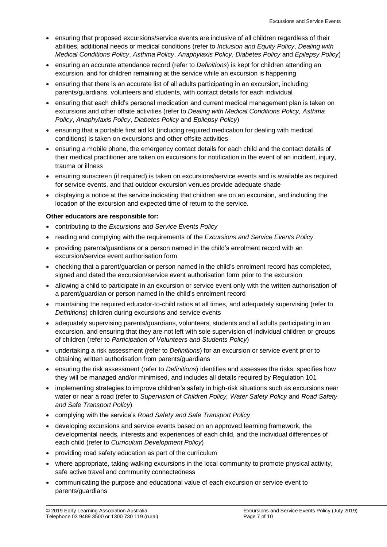- ensuring that proposed excursions/service events are inclusive of all children regardless of their abilities, additional needs or medical conditions (refer to *Inclusion and Equity Policy*, *Dealing with Medical Conditions Policy*, *Asthma Policy*, *Anaphylaxis Policy*, *Diabetes Policy* and *Epilepsy Policy*)
- ensuring an accurate attendance record (refer to *Definitions*) is kept for children attending an excursion, and for children remaining at the service while an excursion is happening
- ensuring that there is an accurate list of all adults participating in an excursion, including parents/guardians, volunteers and students, with contact details for each individual
- ensuring that each child's personal medication and current medical management plan is taken on excursions and other offsite activities (refer to *Dealing with Medical Conditions Policy, Asthma Policy*, *Anaphylaxis Policy*, *Diabetes Policy* and *Epilepsy Policy*)
- ensuring that a portable first aid kit (including required medication for dealing with medical conditions) is taken on excursions and other offsite activities
- ensuring a mobile phone, the emergency contact details for each child and the contact details of their medical practitioner are taken on excursions for notification in the event of an incident, injury, trauma or illness
- ensuring sunscreen (if required) is taken on excursions/service events and is available as required for service events, and that outdoor excursion venues provide adequate shade
- displaying a notice at the service indicating that children are on an excursion, and including the location of the excursion and expected time of return to the service.

### **Other educators are responsible for:**

- contributing to the *Excursions and Service Events Policy*
- reading and complying with the requirements of the *Excursions and Service Events Policy*
- providing parents/guardians or a person named in the child's enrolment record with an excursion/service event authorisation form
- checking that a parent/guardian or person named in the child's enrolment record has completed, signed and dated the excursion/service event authorisation form prior to the excursion
- allowing a child to participate in an excursion or service event only with the written authorisation of a parent/guardian or person named in the child's enrolment record
- maintaining the required educator-to-child ratios at all times, and adequately supervising (refer to *Definitions*) children during excursions and service events
- adequately supervising parents/guardians, volunteers, students and all adults participating in an excursion, and ensuring that they are not left with sole supervision of individual children or groups of children (refer to *Participation of Volunteers and Students Policy*)
- undertaking a risk assessment (refer to *Definitions*) for an excursion or service event prior to obtaining written authorisation from parents/guardians
- ensuring the risk assessment (refer to *Definitions*) identifies and assesses the risks, specifies how they will be managed and/or minimised, and includes all details required by Regulation 101
- implementing strategies to improve children's safety in high-risk situations such as excursions near water or near a road (refer to *Supervision of Children Policy, Water Safety Policy* and *Road Safety and Safe Transport Policy*)
- complying with the service's *Road Safety and Safe Transport Policy*
- developing excursions and service events based on an approved learning framework, the developmental needs, interests and experiences of each child, and the individual differences of each child (refer to *Curriculum Development Policy*)
- providing road safety education as part of the curriculum
- where appropriate, taking walking excursions in the local community to promote physical activity, safe active travel and community connectedness
- communicating the purpose and educational value of each excursion or service event to parents/guardians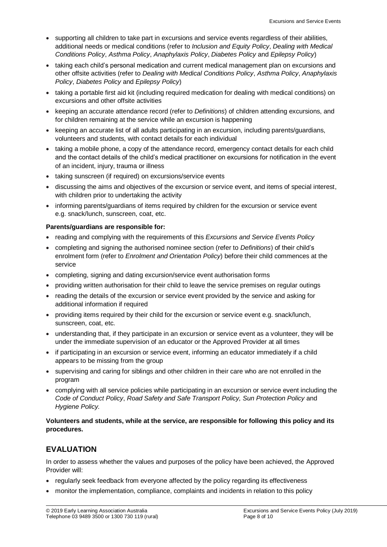- supporting all children to take part in excursions and service events regardless of their abilities, additional needs or medical conditions (refer to *Inclusion and Equity Policy*, *Dealing with Medical Conditions Policy*, *Asthma Policy*, *Anaphylaxis Policy*, *Diabetes Policy* and *Epilepsy Policy*)
- taking each child's personal medication and current medical management plan on excursions and other offsite activities (refer to *Dealing with Medical Conditions Policy*, *Asthma Policy*, *Anaphylaxis Policy*, *Diabetes Policy* and *Epilepsy Policy*)
- taking a portable first aid kit (including required medication for dealing with medical conditions) on excursions and other offsite activities
- keeping an accurate attendance record (refer to *Definitions*) of children attending excursions, and for children remaining at the service while an excursion is happening
- keeping an accurate list of all adults participating in an excursion, including parents/guardians, volunteers and students, with contact details for each individual
- taking a mobile phone, a copy of the attendance record, emergency contact details for each child and the contact details of the child's medical practitioner on excursions for notification in the event of an incident, injury, trauma or illness
- taking sunscreen (if required) on excursions/service events
- discussing the aims and objectives of the excursion or service event, and items of special interest, with children prior to undertaking the activity
- informing parents/guardians of items required by children for the excursion or service event e.g. snack/lunch, sunscreen, coat, etc.

### **Parents/guardians are responsible for:**

- reading and complying with the requirements of this *Excursions and Service Events Policy*
- completing and signing the authorised nominee section (refer to *Definitions*) of their child's enrolment form (refer to *Enrolment and Orientation Policy*) before their child commences at the service
- completing, signing and dating excursion/service event authorisation forms
- providing written authorisation for their child to leave the service premises on regular outings
- reading the details of the excursion or service event provided by the service and asking for additional information if required
- providing items required by their child for the excursion or service event e.g. snack/lunch, sunscreen, coat, etc.
- understanding that, if they participate in an excursion or service event as a volunteer, they will be under the immediate supervision of an educator or the Approved Provider at all times
- if participating in an excursion or service event, informing an educator immediately if a child appears to be missing from the group
- supervising and caring for siblings and other children in their care who are not enrolled in the program
- complying with all service policies while participating in an excursion or service event including the *Code of Conduct Policy*, *Road Safety and Safe Transport Policy, Sun Protection Policy* and *Hygiene Policy.*

**Volunteers and students, while at the service, are responsible for following this policy and its procedures.**

# **EVALUATION**

In order to assess whether the values and purposes of the policy have been achieved, the Approved Provider will:

- regularly seek feedback from everyone affected by the policy regarding its effectiveness
- monitor the implementation, compliance, complaints and incidents in relation to this policy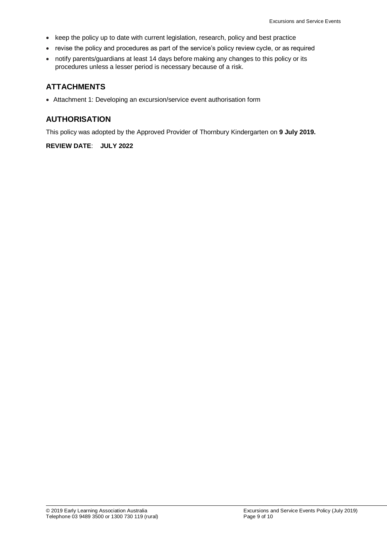- keep the policy up to date with current legislation, research, policy and best practice
- revise the policy and procedures as part of the service's policy review cycle, or as required
- notify parents/guardians at least 14 days before making any changes to this policy or its procedures unless a lesser period is necessary because of a risk.

### **ATTACHMENTS**

Attachment 1: Developing an excursion/service event authorisation form

### **AUTHORISATION**

This policy was adopted by the Approved Provider of Thornbury Kindergarten on **9 July 2019.**

### **REVIEW DATE**: **JULY 2022**